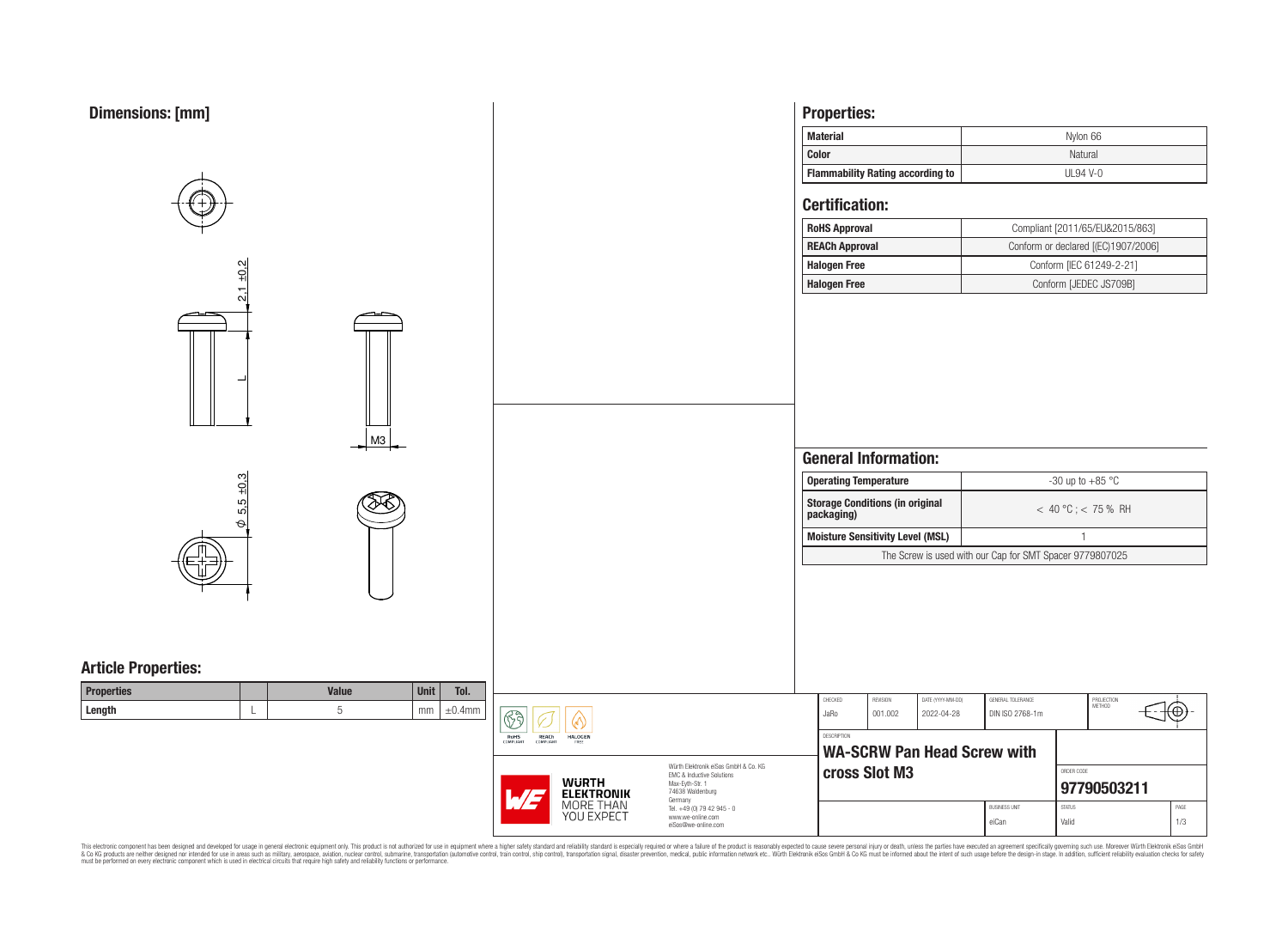| <b>Dimensions: [mm]</b>                                                         |                                        |                                                                                                                     | <b>Properties:</b>                                   |               |                                    |                                                          |                                     |               |  |  |
|---------------------------------------------------------------------------------|----------------------------------------|---------------------------------------------------------------------------------------------------------------------|------------------------------------------------------|---------------|------------------------------------|----------------------------------------------------------|-------------------------------------|---------------|--|--|
|                                                                                 |                                        |                                                                                                                     | <b>Material</b>                                      |               |                                    |                                                          | Nylon 66                            |               |  |  |
|                                                                                 |                                        |                                                                                                                     | Color                                                |               |                                    |                                                          | Natural                             |               |  |  |
|                                                                                 |                                        |                                                                                                                     | <b>Flammability Rating according to</b>              |               |                                    |                                                          | <b>UL94 V-0</b>                     |               |  |  |
|                                                                                 |                                        |                                                                                                                     | <b>Certification:</b>                                |               |                                    |                                                          |                                     |               |  |  |
|                                                                                 |                                        |                                                                                                                     | <b>RoHS Approval</b>                                 |               |                                    |                                                          | Compliant [2011/65/EU&2015/863]     |               |  |  |
|                                                                                 |                                        |                                                                                                                     | <b>REACh Approval</b>                                |               |                                    |                                                          | Conform or declared [(EC)1907/2006] |               |  |  |
| N                                                                               |                                        |                                                                                                                     | <b>Halogen Free</b>                                  |               |                                    |                                                          | Conform [IEC 61249-2-21]            |               |  |  |
| 넹<br>$\mathbf{\tau}$                                                            |                                        |                                                                                                                     | <b>Halogen Free</b>                                  |               |                                    |                                                          | Conform [JEDEC JS709B]              |               |  |  |
| M3                                                                              |                                        |                                                                                                                     | <b>General Information:</b>                          |               |                                    |                                                          |                                     |               |  |  |
|                                                                                 |                                        |                                                                                                                     | <b>Operating Temperature</b>                         |               |                                    |                                                          | -30 up to +85 $^{\circ}$ C          |               |  |  |
| $\frac{+0.3}{-0.3}$<br>ര്<br>ျက်<br>$\Theta$                                    |                                        |                                                                                                                     | <b>Storage Conditions (in original</b><br>packaging) |               |                                    |                                                          | $< 40 °C$ ; $< 75 %$ RH             |               |  |  |
|                                                                                 |                                        |                                                                                                                     | <b>Moisture Sensitivity Level (MSL)</b>              |               |                                    |                                                          | $\overline{1}$                      |               |  |  |
|                                                                                 |                                        |                                                                                                                     |                                                      |               |                                    | The Screw is used with our Cap for SMT Spacer 9779807025 |                                     |               |  |  |
| <b>Article Properties:</b><br><b>Properties</b><br><b>Value</b><br>Unit<br>Tol. |                                        |                                                                                                                     | CHECKED                                              | REVISION      | DATE (YYYY-MM-DD)                  | GENERAL TOLERANCE                                        |                                     |               |  |  |
| Length<br>5<br>$mm \pm 0.4mm$                                                   | $\boxed{\textcircled{S}}$<br>$\circ$   |                                                                                                                     | JaRo                                                 | 001.002       | 2022-04-28                         | DIN ISO 2768-1m                                          | PROJECTION<br>METHOD                | $\circledast$ |  |  |
|                                                                                 | ROHS COMPLIANT COMPLIANT FREE          |                                                                                                                     | DESCRIPTION                                          |               | <b>WA-SCRW Pan Head Screw with</b> |                                                          |                                     |               |  |  |
|                                                                                 | <b>WURTH</b><br><b>ELEKTRONIK</b><br>M | Würth Elektronik eiSos GmbH & Co. KG<br>EMC & Inductive Solutions<br>Max-Eyth-Str. 1<br>74638 Waldenburg<br>Germany |                                                      | cross Slot M3 |                                    |                                                          | ORDER CODE<br>97790503211           |               |  |  |
|                                                                                 | MORE THAN<br>YOU EXPECT                | Tel. +49 (0) 79 42 945 - 0<br>www.we-online.com<br>eiSos@we-online.com                                              |                                                      |               |                                    | <b>BUSINESS UNIT</b><br>eiCan                            | STATUS<br>Valid                     | PAGE<br>1/3   |  |  |

This electronic component has been designed and developed for usage in general electronic equipment only. This product is not authorized for subserved requipment where a higher selection equipment where a higher selection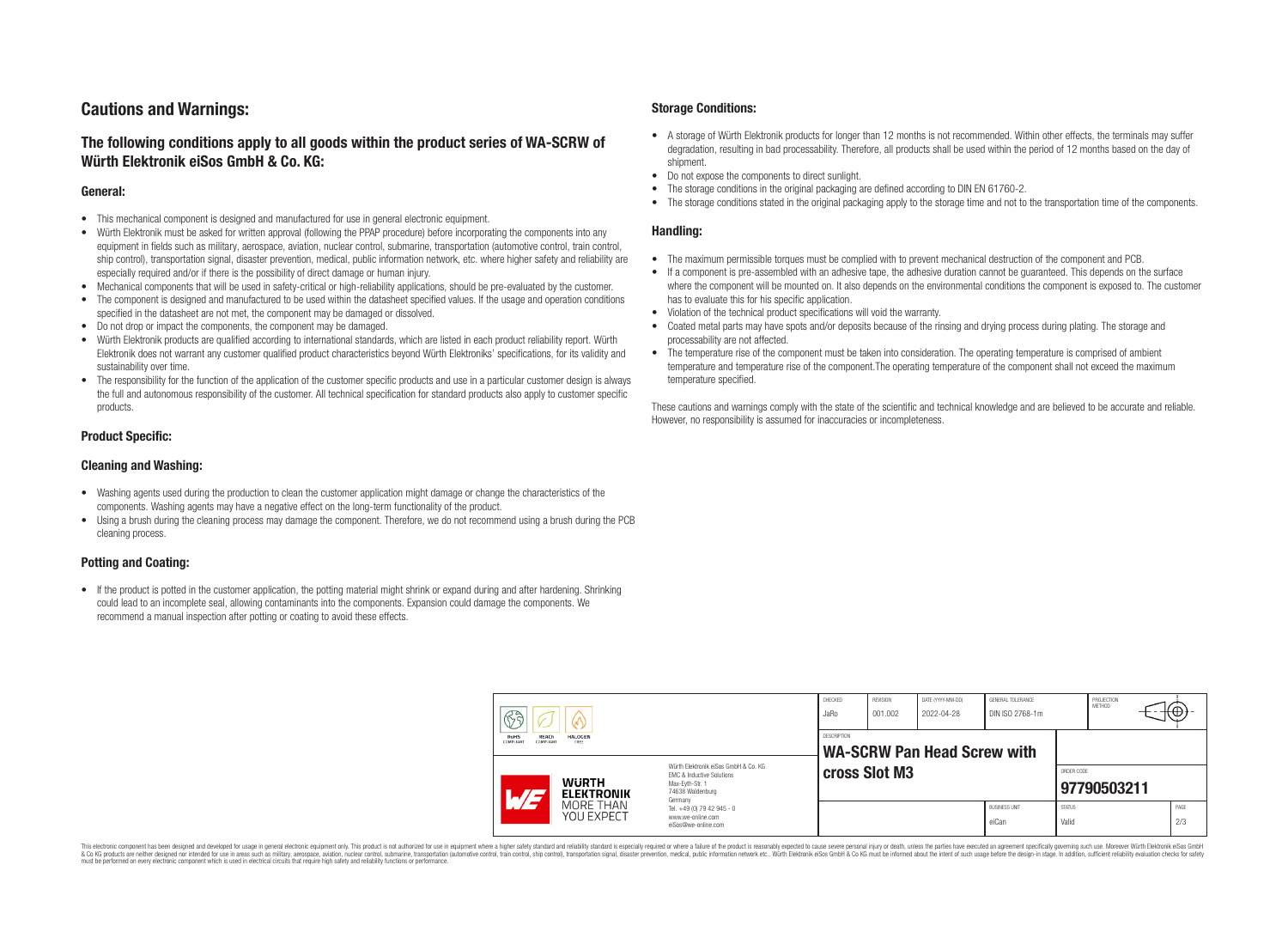# **Cautions and Warnings:**

# **The following conditions apply to all goods within the product series of WA-SCRW of Würth Elektronik eiSos GmbH & Co. KG:**

### **General:**

- This mechanical component is designed and manufactured for use in general electronic equipment.
- Würth Elektronik must be asked for written approval (following the PPAP procedure) before incorporating the components into any equipment in fields such as military, aerospace, aviation, nuclear control, submarine, transportation (automotive control, train control, ship control), transportation signal, disaster prevention, medical, public information network, etc. where higher safety and reliability are especially required and/or if there is the possibility of direct damage or human injury.
- Mechanical components that will be used in safety-critical or high-reliability applications, should be pre-evaluated by the customer.
- The component is designed and manufactured to be used within the datasheet specified values. If the usage and operation conditions specified in the datasheet are not met, the component may be damaged or dissolved.
- Do not drop or impact the components, the component may be damaged.
- Würth Elektronik products are qualified according to international standards, which are listed in each product reliability report. Würth Elektronik does not warrant any customer qualified product characteristics beyond Würth Elektroniks' specifications, for its validity and sustainability over time.
- The responsibility for the function of the application of the customer specific products and use in a particular customer design is always the full and autonomous responsibility of the customer. All technical specification for standard products also apply to customer specific products.

# **Product Specific:**

### **Cleaning and Washing:**

- Washing agents used during the production to clean the customer application might damage or change the characteristics of the components. Washing agents may have a negative effect on the long-term functionality of the product.
- Using a brush during the cleaning process may damage the component. Therefore, we do not recommend using a brush during the PCB cleaning process.

# **Potting and Coating:**

• If the product is potted in the customer application, the potting material might shrink or expand during and after hardening. Shrinking could lead to an incomplete seal, allowing contaminants into the components. Expansion could damage the components. We recommend a manual inspection after potting or coating to avoid these effects.

### **Storage Conditions:**

- A storage of Würth Elektronik products for longer than 12 months is not recommended. Within other effects, the terminals may suffer degradation, resulting in bad processability. Therefore, all products shall be used within the period of 12 months based on the day of shipment.
- Do not expose the components to direct sunlight.<br>• The storage conditions in the original packaging
- The storage conditions in the original packaging are defined according to DIN EN 61760-2.
- The storage conditions stated in the original packaging apply to the storage time and not to the transportation time of the components.

# **Handling:**

- The maximum permissible torques must be complied with to prevent mechanical destruction of the component and PCB.
- If a component is pre-assembled with an adhesive tape, the adhesive duration cannot be guaranteed. This depends on the surface where the component will be mounted on. It also depends on the environmental conditions the component is exposed to. The customer has to evaluate this for his specific application.
- Violation of the technical product specifications will void the warranty.
- Coated metal parts may have spots and/or deposits because of the rinsing and drying process during plating. The storage and processability are not affected.
- The temperature rise of the component must be taken into consideration. The operating temperature is comprised of ambient temperature and temperature rise of the component.The operating temperature of the component shall not exceed the maximum temperature specified.

These cautions and warnings comply with the state of the scientific and technical knowledge and are believed to be accurate and reliable. However, no responsibility is assumed for inaccuracies or incompleteness.

| $\circledS$                                                                                                                                                         |                                                                                               | CHECKED<br>JaRo                                                        | REVISION<br>001.002                        | DATE (YYYY-MM-DD)<br>GENERAL TOLERANCE<br>DIN ISO 2768-1m<br>2022-04-28 |  |                               | PROJECTION<br><b>METHOD</b><br>₩ |  |  |             |
|---------------------------------------------------------------------------------------------------------------------------------------------------------------------|-----------------------------------------------------------------------------------------------|------------------------------------------------------------------------|--------------------------------------------|-------------------------------------------------------------------------|--|-------------------------------|----------------------------------|--|--|-------------|
|                                                                                                                                                                     | <b>RoHS</b><br><b>REACh</b><br><b>HALOGEN</b><br><b>COMPLIANT</b><br>ERFF<br><b>COMPLIANT</b> |                                                                        | DESCRIPTION<br>WA-SCRW Pan Head Screw with |                                                                         |  |                               |                                  |  |  |             |
| Würth Flektronik eiSos GmbH & Co. KG<br><b>EMC &amp; Inductive Solutions</b><br><b>WURTH</b><br>Max-Evth-Str. 1<br>74638 Waldenburg<br><b>ELEKTRONIK</b><br>Germany |                                                                                               | cross Slot M3                                                          |                                            |                                                                         |  | ORDER CODE<br>97790503211     |                                  |  |  |             |
|                                                                                                                                                                     | MORE THAN<br>YOU EXPECT                                                                       | Tel. +49 (0) 79 42 945 - 0<br>www.we-online.com<br>eiSos@we-online.com |                                            |                                                                         |  | <b>BUSINESS UNIT</b><br>eiCan | <b>STATUS</b><br>Valid           |  |  | PAGE<br>2/3 |

This electronic component has been designed and developed for usage in general electronic equipment only. This product is not authorized for use in equipment where a higher safety standard and reliability standard si espec & Ook product a label and the membed of the seasuch as marked and as which such a membed and the such assume that income in the seasuch and the simulation and the such assume that include to the such a membed and the such